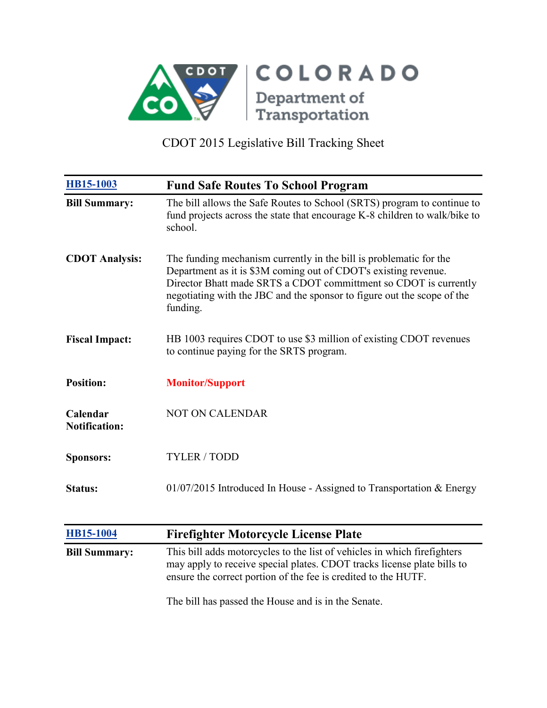

| <b>HB15-1003</b>                 | <b>Fund Safe Routes To School Program</b>                                                                                                                                                                                                                                                        |
|----------------------------------|--------------------------------------------------------------------------------------------------------------------------------------------------------------------------------------------------------------------------------------------------------------------------------------------------|
| <b>Bill Summary:</b>             | The bill allows the Safe Routes to School (SRTS) program to continue to<br>fund projects across the state that encourage K-8 children to walk/bike to<br>school.                                                                                                                                 |
| <b>CDOT Analysis:</b>            | The funding mechanism currently in the bill is problematic for the<br>Department as it is \$3M coming out of CDOT's existing revenue.<br>Director Bhatt made SRTS a CDOT committment so CDOT is currently<br>negotiating with the JBC and the sponsor to figure out the scope of the<br>funding. |
| <b>Fiscal Impact:</b>            | HB 1003 requires CDOT to use \$3 million of existing CDOT revenues<br>to continue paying for the SRTS program.                                                                                                                                                                                   |
| <b>Position:</b>                 | <b>Monitor/Support</b>                                                                                                                                                                                                                                                                           |
| Calendar<br><b>Notification:</b> | <b>NOT ON CALENDAR</b>                                                                                                                                                                                                                                                                           |
| <b>Sponsors:</b>                 | <b>TYLER / TODD</b>                                                                                                                                                                                                                                                                              |
| <b>Status:</b>                   | $01/07/2015$ Introduced In House - Assigned to Transportation & Energy                                                                                                                                                                                                                           |
| HB15-1004                        | <b>Firefighter Motorcycle License Plate</b>                                                                                                                                                                                                                                                      |
| <b>Bill Summary:</b>             | This bill adds motorcycles to the list of vehicles in which firefighters<br>may apply to receive special plates. CDOT tracks license plate bills to<br>ensure the correct portion of the fee is credited to the HUTF.                                                                            |
|                                  | The bill has passed the House and is in the Senate.                                                                                                                                                                                                                                              |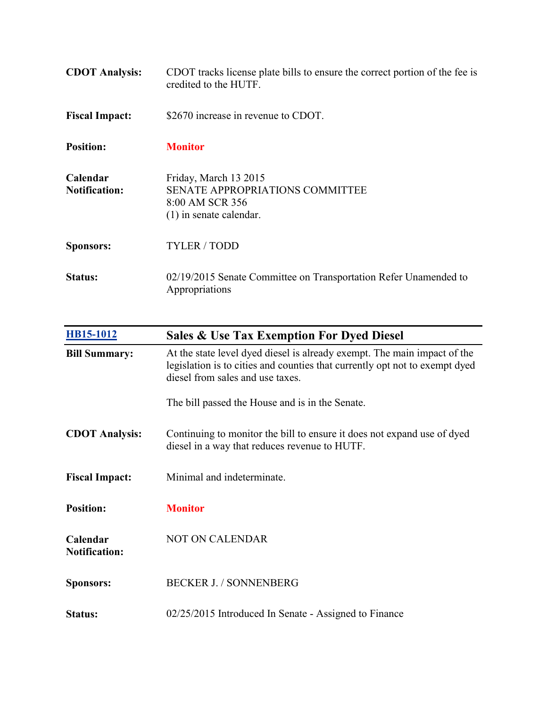| <b>CDOT</b> Analysis:            | CDOT tracks license plate bills to ensure the correct portion of the fee is<br>credited to the HUTF.            |
|----------------------------------|-----------------------------------------------------------------------------------------------------------------|
| <b>Fiscal Impact:</b>            | \$2670 increase in revenue to CDOT.                                                                             |
| <b>Position:</b>                 | <b>Monitor</b>                                                                                                  |
| Calendar<br><b>Notification:</b> | Friday, March 13 2015<br><b>SENATE APPROPRIATIONS COMMITTEE</b><br>8:00 AM SCR 356<br>$(1)$ in senate calendar. |
| <b>Sponsors:</b>                 | <b>TYLER / TODD</b>                                                                                             |
| Status:                          | 02/19/2015 Senate Committee on Transportation Refer Unamended to<br>Appropriations                              |

| HB15-1012                        | <b>Sales &amp; Use Tax Exemption For Dyed Diesel</b>                                                                                                                                        |
|----------------------------------|---------------------------------------------------------------------------------------------------------------------------------------------------------------------------------------------|
| <b>Bill Summary:</b>             | At the state level dyed diesel is already exempt. The main impact of the<br>legislation is to cities and counties that currently opt not to exempt dyed<br>diesel from sales and use taxes. |
|                                  | The bill passed the House and is in the Senate.                                                                                                                                             |
| <b>CDOT Analysis:</b>            | Continuing to monitor the bill to ensure it does not expand use of dyed<br>diesel in a way that reduces revenue to HUTF.                                                                    |
| <b>Fiscal Impact:</b>            | Minimal and indeterminate.                                                                                                                                                                  |
| <b>Position:</b>                 | <b>Monitor</b>                                                                                                                                                                              |
| Calendar<br><b>Notification:</b> | NOT ON CALENDAR                                                                                                                                                                             |
| <b>Sponsors:</b>                 | <b>BECKER J. / SONNENBERG</b>                                                                                                                                                               |
| Status:                          | 02/25/2015 Introduced In Senate - Assigned to Finance                                                                                                                                       |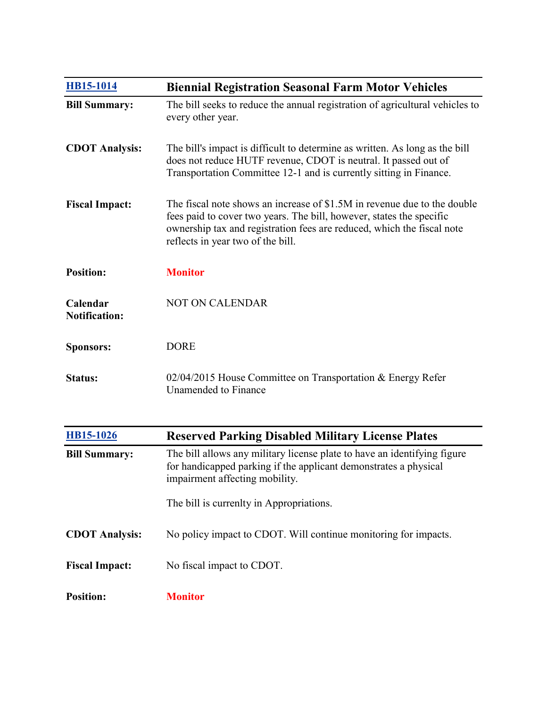| HB15-1014                        | <b>Biennial Registration Seasonal Farm Motor Vehicles</b>                                                                                                                                                                                                       |
|----------------------------------|-----------------------------------------------------------------------------------------------------------------------------------------------------------------------------------------------------------------------------------------------------------------|
| <b>Bill Summary:</b>             | The bill seeks to reduce the annual registration of agricultural vehicles to<br>every other year.                                                                                                                                                               |
| <b>CDOT Analysis:</b>            | The bill's impact is difficult to determine as written. As long as the bill<br>does not reduce HUTF revenue, CDOT is neutral. It passed out of<br>Transportation Committee 12-1 and is currently sitting in Finance.                                            |
| <b>Fiscal Impact:</b>            | The fiscal note shows an increase of \$1.5M in revenue due to the double<br>fees paid to cover two years. The bill, however, states the specific<br>ownership tax and registration fees are reduced, which the fiscal note<br>reflects in year two of the bill. |
| <b>Position:</b>                 | <b>Monitor</b>                                                                                                                                                                                                                                                  |
| Calendar<br><b>Notification:</b> | <b>NOT ON CALENDAR</b>                                                                                                                                                                                                                                          |
| <b>Sponsors:</b>                 | <b>DORE</b>                                                                                                                                                                                                                                                     |
| <b>Status:</b>                   | 02/04/2015 House Committee on Transportation & Energy Refer<br><b>Unamended</b> to Finance                                                                                                                                                                      |
| HB15-1026                        | <b>Reserved Parking Disabled Military License Plates</b>                                                                                                                                                                                                        |
| <b>Bill Summary:</b>             | The bill allows any military license plate to have an identifying figure<br>for handicapped parking if the applicant demonstrates a physical<br>impairment affecting mobility.                                                                                  |
|                                  | The bill is currenlty in Appropriations.                                                                                                                                                                                                                        |
| <b>CDOT Analysis:</b>            | No policy impact to CDOT. Will continue monitoring for impacts.                                                                                                                                                                                                 |
| <b>Fiscal Impact:</b>            | No fiscal impact to CDOT.                                                                                                                                                                                                                                       |
| <b>Position:</b>                 | <b>Monitor</b>                                                                                                                                                                                                                                                  |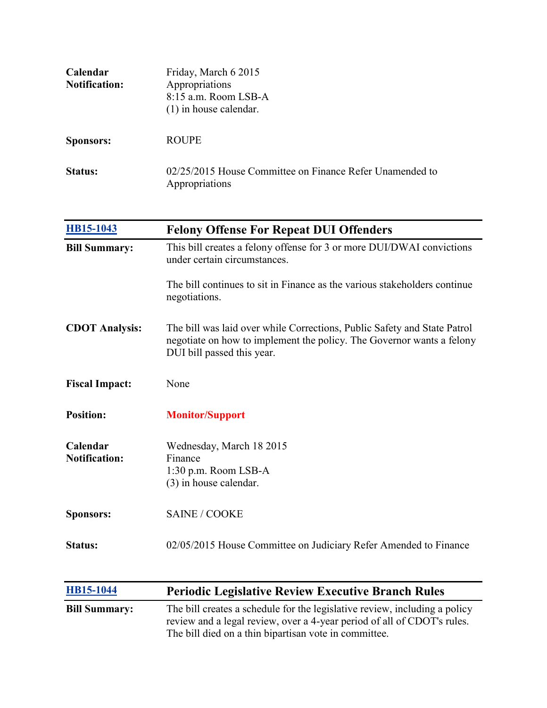| Calendar<br><b>Notification:</b> | Friday, March 6 2015<br>Appropriations<br>8:15 a.m. Room LSB-A<br>$(1)$ in house calendar.                                                                                      |
|----------------------------------|---------------------------------------------------------------------------------------------------------------------------------------------------------------------------------|
| <b>Sponsors:</b>                 | <b>ROUPE</b>                                                                                                                                                                    |
| Status:                          | 02/25/2015 House Committee on Finance Refer Unamended to<br>Appropriations                                                                                                      |
| HB15-1043                        | <b>Felony Offense For Repeat DUI Offenders</b>                                                                                                                                  |
| <b>Bill Summary:</b>             | This bill creates a felony offense for 3 or more DUI/DWAI convictions<br>under certain circumstances.                                                                           |
|                                  | The bill continues to sit in Finance as the various stakeholders continue<br>negotiations.                                                                                      |
| <b>CDOT</b> Analysis:            | The bill was laid over while Corrections, Public Safety and State Patrol<br>negotiate on how to implement the policy. The Governor wants a felony<br>DUI bill passed this year. |
| <b>Fiscal Impact:</b>            | None                                                                                                                                                                            |
| <b>Position:</b>                 | <b>Monitor/Support</b>                                                                                                                                                          |
| Calendar<br><b>Notification:</b> | Wednesday, March 18 2015<br>Finance<br>1:30 p.m. Room LSB-A<br>(3) in house calendar.                                                                                           |
| <b>Sponsors:</b>                 | <b>SAINE / COOKE</b>                                                                                                                                                            |
| Status:                          | 02/05/2015 House Committee on Judiciary Refer Amended to Finance                                                                                                                |
| HB15-1044                        | <b>Periodic Legislative Review Executive Branch Rules</b>                                                                                                                       |
| <b>Bill Summary:</b>             | The bill creates a schedule for the legislative review, including a policy                                                                                                      |

review and a legal review, over a 4-year period of all of CDOT's rules.

The bill died on a thin bipartisan vote in committee.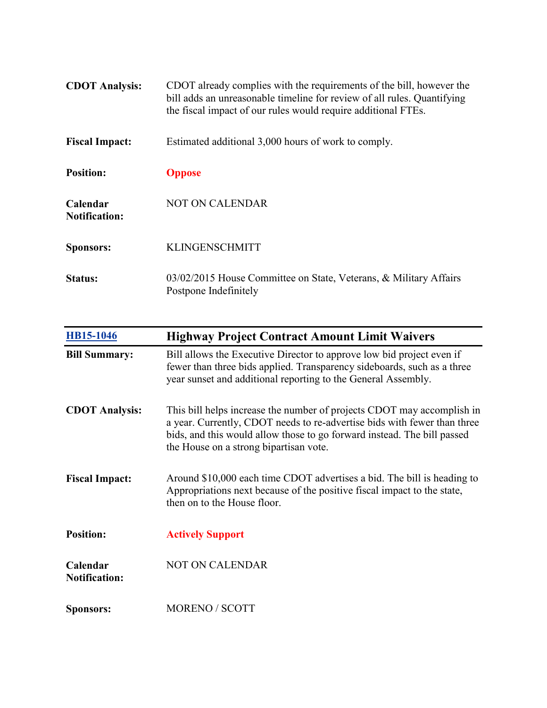| <b>CDOT</b> Analysis:            | CDOT already complies with the requirements of the bill, however the<br>bill adds an unreasonable timeline for review of all rules. Quantifying<br>the fiscal impact of our rules would require additional FTEs. |
|----------------------------------|------------------------------------------------------------------------------------------------------------------------------------------------------------------------------------------------------------------|
| <b>Fiscal Impact:</b>            | Estimated additional 3,000 hours of work to comply.                                                                                                                                                              |
| <b>Position:</b>                 | <b>Oppose</b>                                                                                                                                                                                                    |
| Calendar<br><b>Notification:</b> | <b>NOT ON CALENDAR</b>                                                                                                                                                                                           |
| <b>Sponsors:</b>                 | <b>KLINGENSCHMITT</b>                                                                                                                                                                                            |
| Status:                          | 03/02/2015 House Committee on State, Veterans, & Military Affairs<br>Postpone Indefinitely                                                                                                                       |

| <b>HB15-1046</b>                 | <b>Highway Project Contract Amount Limit Waivers</b>                                                                                                                                                                                                                    |
|----------------------------------|-------------------------------------------------------------------------------------------------------------------------------------------------------------------------------------------------------------------------------------------------------------------------|
| <b>Bill Summary:</b>             | Bill allows the Executive Director to approve low bid project even if<br>fewer than three bids applied. Transparency sideboards, such as a three<br>year sunset and additional reporting to the General Assembly.                                                       |
| <b>CDOT</b> Analysis:            | This bill helps increase the number of projects CDOT may accomplish in<br>a year. Currently, CDOT needs to re-advertise bids with fewer than three<br>bids, and this would allow those to go forward instead. The bill passed<br>the House on a strong bipartisan vote. |
| <b>Fiscal Impact:</b>            | Around \$10,000 each time CDOT advertises a bid. The bill is heading to<br>Appropriations next because of the positive fiscal impact to the state,<br>then on to the House floor.                                                                                       |
| <b>Position:</b>                 | <b>Actively Support</b>                                                                                                                                                                                                                                                 |
| Calendar<br><b>Notification:</b> | <b>NOT ON CALENDAR</b>                                                                                                                                                                                                                                                  |
| <b>Sponsors:</b>                 | <b>MORENO / SCOTT</b>                                                                                                                                                                                                                                                   |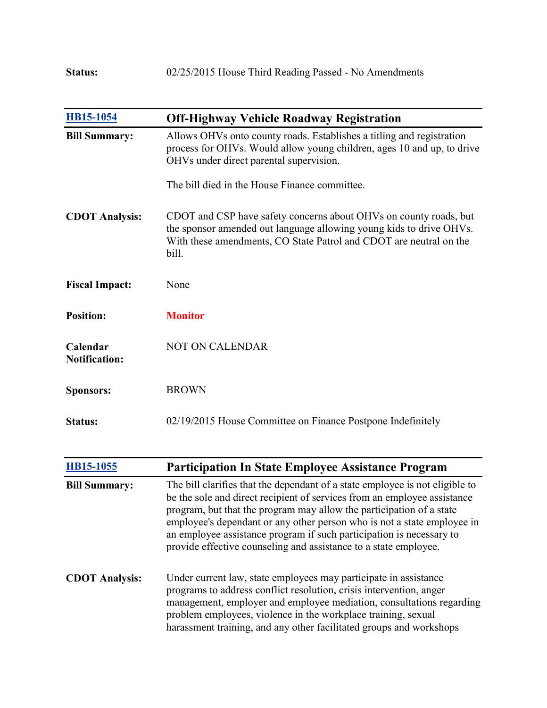| HB15-1054                        | <b>Off-Highway Vehicle Roadway Registration</b>                                                                                                                                                                         |
|----------------------------------|-------------------------------------------------------------------------------------------------------------------------------------------------------------------------------------------------------------------------|
| <b>Bill Summary:</b>             | Allows OHVs onto county roads. Establishes a titling and registration<br>process for OHVs. Would allow young children, ages 10 and up, to drive<br>OHVs under direct parental supervision.                              |
|                                  | The bill died in the House Finance committee.                                                                                                                                                                           |
| <b>CDOT</b> Analysis:            | CDOT and CSP have safety concerns about OHVs on county roads, but<br>the sponsor amended out language allowing young kids to drive OHVs.<br>With these amendments, CO State Patrol and CDOT are neutral on the<br>bill. |
| <b>Fiscal Impact:</b>            | None                                                                                                                                                                                                                    |
| <b>Position:</b>                 | <b>Monitor</b>                                                                                                                                                                                                          |
| Calendar<br><b>Notification:</b> | <b>NOT ON CALENDAR</b>                                                                                                                                                                                                  |
| <b>Sponsors:</b>                 | <b>BROWN</b>                                                                                                                                                                                                            |
| <b>Status:</b>                   | 02/19/2015 House Committee on Finance Postpone Indefinitely                                                                                                                                                             |

| HB15-1055             | <b>Participation In State Employee Assistance Program</b>                                                                                                                                                                                                                                                                                                                                                                                               |
|-----------------------|---------------------------------------------------------------------------------------------------------------------------------------------------------------------------------------------------------------------------------------------------------------------------------------------------------------------------------------------------------------------------------------------------------------------------------------------------------|
| <b>Bill Summary:</b>  | The bill clarifies that the dependant of a state employee is not eligible to<br>be the sole and direct recipient of services from an employee assistance<br>program, but that the program may allow the participation of a state<br>employee's dependant or any other person who is not a state employee in<br>an employee assistance program if such participation is necessary to<br>provide effective counseling and assistance to a state employee. |
| <b>CDOT</b> Analysis: | Under current law, state employees may participate in assistance<br>programs to address conflict resolution, crisis intervention, anger<br>management, employer and employee mediation, consultations regarding<br>problem employees, violence in the workplace training, sexual<br>harassment training, and any other facilitated groups and workshops                                                                                                 |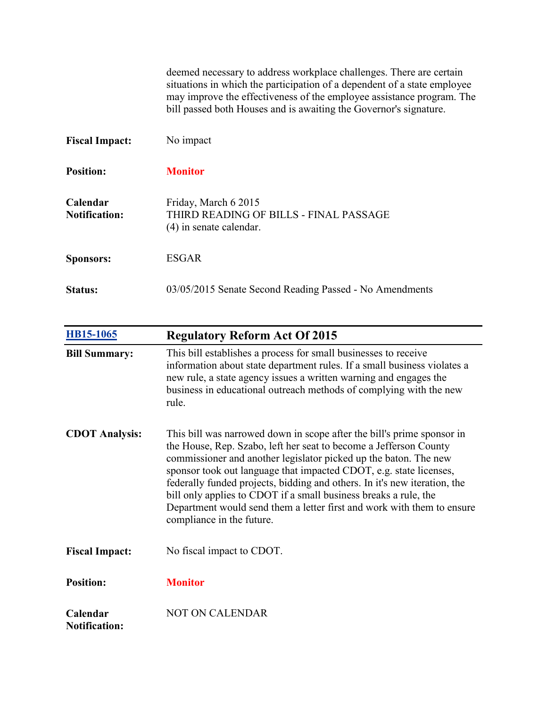| deemed necessary to address workplace challenges. There are certain      |
|--------------------------------------------------------------------------|
| situations in which the participation of a dependent of a state employee |
| may improve the effectiveness of the employee assistance program. The    |
| bill passed both Houses and is awaiting the Governor's signature.        |

| <b>Fiscal Impact:</b>            | No impact                                                                                   |
|----------------------------------|---------------------------------------------------------------------------------------------|
| <b>Position:</b>                 | <b>Monitor</b>                                                                              |
| Calendar<br><b>Notification:</b> | Friday, March 6 2015<br>THIRD READING OF BILLS - FINAL PASSAGE<br>$(4)$ in senate calendar. |
| <b>Sponsors:</b>                 | ESGAR                                                                                       |
| Status:                          | 03/05/2015 Senate Second Reading Passed - No Amendments                                     |

| <b>HB15-1065</b>                 | <b>Regulatory Reform Act Of 2015</b>                                                                                                                                                                                                                                                                                                                                                                                                                                                                                                          |
|----------------------------------|-----------------------------------------------------------------------------------------------------------------------------------------------------------------------------------------------------------------------------------------------------------------------------------------------------------------------------------------------------------------------------------------------------------------------------------------------------------------------------------------------------------------------------------------------|
| <b>Bill Summary:</b>             | This bill establishes a process for small businesses to receive<br>information about state department rules. If a small business violates a<br>new rule, a state agency issues a written warning and engages the<br>business in educational outreach methods of complying with the new<br>rule.                                                                                                                                                                                                                                               |
| <b>CDOT</b> Analysis:            | This bill was narrowed down in scope after the bill's prime sponsor in<br>the House, Rep. Szabo, left her seat to become a Jefferson County<br>commissioner and another legislator picked up the baton. The new<br>sponsor took out language that impacted CDOT, e.g. state licenses,<br>federally funded projects, bidding and others. In it's new iteration, the<br>bill only applies to CDOT if a small business breaks a rule, the<br>Department would send them a letter first and work with them to ensure<br>compliance in the future. |
| <b>Fiscal Impact:</b>            | No fiscal impact to CDOT.                                                                                                                                                                                                                                                                                                                                                                                                                                                                                                                     |
| <b>Position:</b>                 | <b>Monitor</b>                                                                                                                                                                                                                                                                                                                                                                                                                                                                                                                                |
| Calendar<br><b>Notification:</b> | <b>NOT ON CALENDAR</b>                                                                                                                                                                                                                                                                                                                                                                                                                                                                                                                        |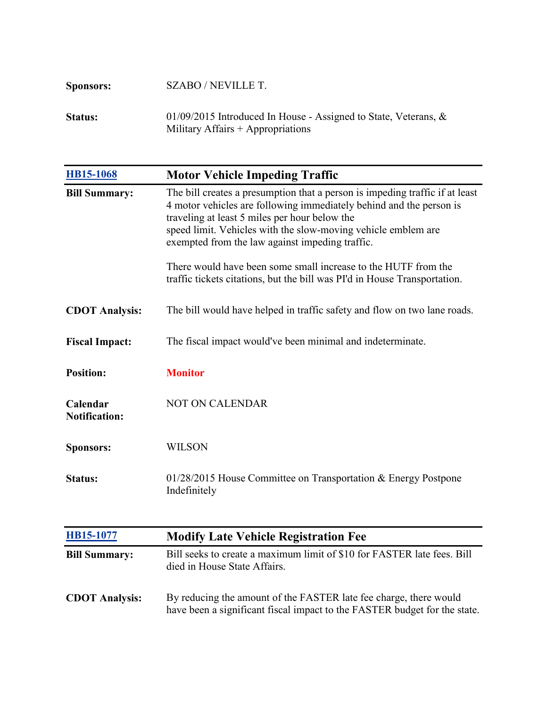| <b>Sponsors:</b> | SZABO / NEVILLE T.                                                                                        |
|------------------|-----------------------------------------------------------------------------------------------------------|
| <b>Status:</b>   | 01/09/2015 Introduced In House - Assigned to State, Veterans, $\&$<br>Military Affairs $+$ Appropriations |

| <b>HB15-1068</b>                 | <b>Motor Vehicle Impeding Traffic</b>                                                                                                                                                                                                                                                                                                                                                                                                                                   |
|----------------------------------|-------------------------------------------------------------------------------------------------------------------------------------------------------------------------------------------------------------------------------------------------------------------------------------------------------------------------------------------------------------------------------------------------------------------------------------------------------------------------|
| <b>Bill Summary:</b>             | The bill creates a presumption that a person is impeding traffic if at least<br>4 motor vehicles are following immediately behind and the person is<br>traveling at least 5 miles per hour below the<br>speed limit. Vehicles with the slow-moving vehicle emblem are<br>exempted from the law against impeding traffic.<br>There would have been some small increase to the HUTF from the<br>traffic tickets citations, but the bill was PI'd in House Transportation. |
| <b>CDOT Analysis:</b>            | The bill would have helped in traffic safety and flow on two lane roads.                                                                                                                                                                                                                                                                                                                                                                                                |
| <b>Fiscal Impact:</b>            | The fiscal impact would've been minimal and indeterminate.                                                                                                                                                                                                                                                                                                                                                                                                              |
| <b>Position:</b>                 | <b>Monitor</b>                                                                                                                                                                                                                                                                                                                                                                                                                                                          |
| Calendar<br><b>Notification:</b> | NOT ON CALENDAR                                                                                                                                                                                                                                                                                                                                                                                                                                                         |
| <b>Sponsors:</b>                 | <b>WILSON</b>                                                                                                                                                                                                                                                                                                                                                                                                                                                           |
| <b>Status:</b>                   | 01/28/2015 House Committee on Transportation & Energy Postpone<br>Indefinitely                                                                                                                                                                                                                                                                                                                                                                                          |
| HB15-1077                        | <b>Modify Late Vehicle Registration Fee</b>                                                                                                                                                                                                                                                                                                                                                                                                                             |
| <b>Bill Summary:</b>             | Bill seeks to create a maximum limit of \$10 for FASTER late fees. Bill<br>died in House State Affairs.                                                                                                                                                                                                                                                                                                                                                                 |

**CDOT Analysis:** By reducing the amount of the FASTER late fee charge, there would have been a significant fiscal impact to the FASTER budget for the state.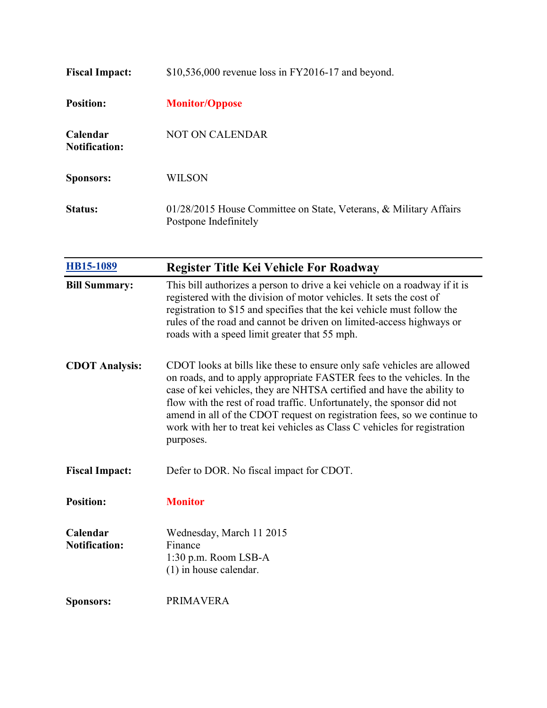| <b>Fiscal Impact:</b>                   | \$10,536,000 revenue loss in FY2016-17 and beyond.                                         |
|-----------------------------------------|--------------------------------------------------------------------------------------------|
| <b>Position:</b>                        | <b>Monitor/Oppose</b>                                                                      |
| <b>Calendar</b><br><b>Notification:</b> | <b>NOT ON CALENDAR</b>                                                                     |
| <b>Sponsors:</b>                        | WILSON                                                                                     |
| <b>Status:</b>                          | 01/28/2015 House Committee on State, Veterans, & Military Affairs<br>Postpone Indefinitely |

| HB15-1089                        | <b>Register Title Kei Vehicle For Roadway</b>                                                                                                                                                                                                                                                                                                                                                                                                                              |
|----------------------------------|----------------------------------------------------------------------------------------------------------------------------------------------------------------------------------------------------------------------------------------------------------------------------------------------------------------------------------------------------------------------------------------------------------------------------------------------------------------------------|
| <b>Bill Summary:</b>             | This bill authorizes a person to drive a kei vehicle on a roadway if it is<br>registered with the division of motor vehicles. It sets the cost of<br>registration to \$15 and specifies that the kei vehicle must follow the<br>rules of the road and cannot be driven on limited-access highways or<br>roads with a speed limit greater that 55 mph.                                                                                                                      |
| <b>CDOT Analysis:</b>            | CDOT looks at bills like these to ensure only safe vehicles are allowed<br>on roads, and to apply appropriate FASTER fees to the vehicles. In the<br>case of kei vehicles, they are NHTSA certified and have the ability to<br>flow with the rest of road traffic. Unfortunately, the sponsor did not<br>amend in all of the CDOT request on registration fees, so we continue to<br>work with her to treat kei vehicles as Class C vehicles for registration<br>purposes. |
| <b>Fiscal Impact:</b>            | Defer to DOR. No fiscal impact for CDOT.                                                                                                                                                                                                                                                                                                                                                                                                                                   |
| <b>Position:</b>                 | <b>Monitor</b>                                                                                                                                                                                                                                                                                                                                                                                                                                                             |
| Calendar<br><b>Notification:</b> | Wednesday, March 11 2015<br>Finance<br>$1:30$ p.m. Room LSB-A<br>$(1)$ in house calendar.                                                                                                                                                                                                                                                                                                                                                                                  |
| <b>Sponsors:</b>                 | <b>PRIMAVERA</b>                                                                                                                                                                                                                                                                                                                                                                                                                                                           |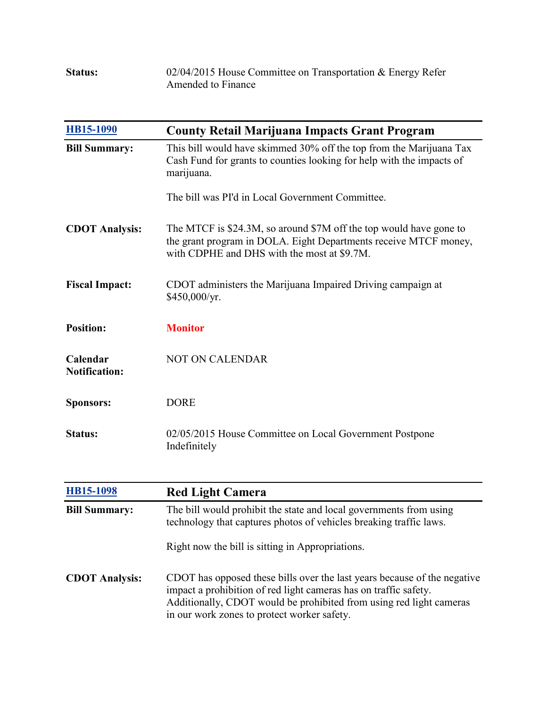| <b>Status:</b> | $02/04/2015$ House Committee on Transportation & Energy Refer |
|----------------|---------------------------------------------------------------|
|                | Amended to Finance                                            |

| <b>HB15-1090</b>                 | <b>County Retail Marijuana Impacts Grant Program</b>                                                                                                                                  |
|----------------------------------|---------------------------------------------------------------------------------------------------------------------------------------------------------------------------------------|
| <b>Bill Summary:</b>             | This bill would have skimmed 30% off the top from the Marijuana Tax<br>Cash Fund for grants to counties looking for help with the impacts of<br>marijuana.                            |
|                                  | The bill was PI'd in Local Government Committee.                                                                                                                                      |
| <b>CDOT Analysis:</b>            | The MTCF is \$24.3M, so around \$7M off the top would have gone to<br>the grant program in DOLA. Eight Departments receive MTCF money,<br>with CDPHE and DHS with the most at \$9.7M. |
| <b>Fiscal Impact:</b>            | CDOT administers the Marijuana Impaired Driving campaign at<br>\$450,000/yr.                                                                                                          |
| <b>Position:</b>                 | <b>Monitor</b>                                                                                                                                                                        |
| Calendar<br><b>Notification:</b> | <b>NOT ON CALENDAR</b>                                                                                                                                                                |
| <b>Sponsors:</b>                 | <b>DORE</b>                                                                                                                                                                           |
| <b>Status:</b>                   | 02/05/2015 House Committee on Local Government Postpone<br>Indefinitely                                                                                                               |

| HB15-1098             | <b>Red Light Camera</b>                                                                                                                                                                                                                                            |
|-----------------------|--------------------------------------------------------------------------------------------------------------------------------------------------------------------------------------------------------------------------------------------------------------------|
| <b>Bill Summary:</b>  | The bill would prohibit the state and local governments from using<br>technology that captures photos of vehicles breaking traffic laws.                                                                                                                           |
|                       | Right now the bill is sitting in Appropriations.                                                                                                                                                                                                                   |
| <b>CDOT Analysis:</b> | CDOT has opposed these bills over the last years because of the negative<br>impact a prohibition of red light cameras has on traffic safety.<br>Additionally, CDOT would be prohibited from using red light cameras<br>in our work zones to protect worker safety. |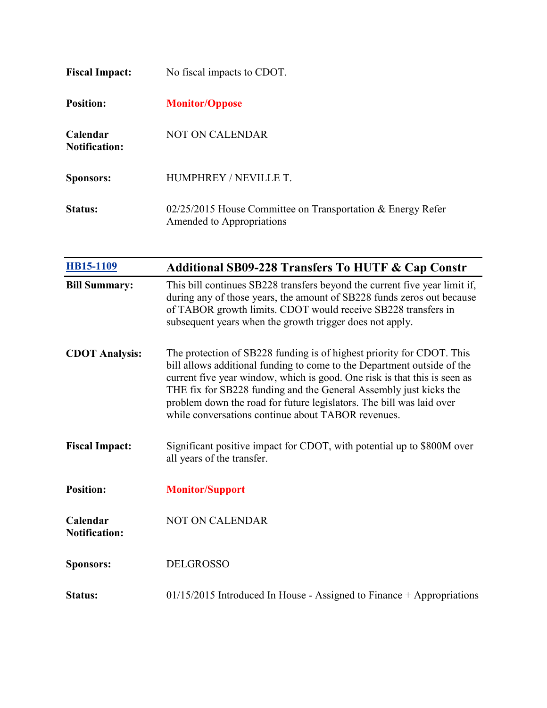| <b>Fiscal Impact:</b>                   | No fiscal impacts to CDOT.                                                                 |
|-----------------------------------------|--------------------------------------------------------------------------------------------|
| <b>Position:</b>                        | <b>Monitor/Oppose</b>                                                                      |
| <b>Calendar</b><br><b>Notification:</b> | NOT ON CALENDAR                                                                            |
| <b>Sponsors:</b>                        | HUMPHREY / NEVILLE T.                                                                      |
| Status:                                 | $02/25/2015$ House Committee on Transportation & Energy Refer<br>Amended to Appropriations |

| HB15-1109                        | <b>Additional SB09-228 Transfers To HUTF &amp; Cap Constr</b>                                                                                                                                                                                                                                                                                                                                                                    |
|----------------------------------|----------------------------------------------------------------------------------------------------------------------------------------------------------------------------------------------------------------------------------------------------------------------------------------------------------------------------------------------------------------------------------------------------------------------------------|
| <b>Bill Summary:</b>             | This bill continues SB228 transfers beyond the current five year limit if,<br>during any of those years, the amount of SB228 funds zeros out because<br>of TABOR growth limits. CDOT would receive SB228 transfers in<br>subsequent years when the growth trigger does not apply.                                                                                                                                                |
| <b>CDOT Analysis:</b>            | The protection of SB228 funding is of highest priority for CDOT. This<br>bill allows additional funding to come to the Department outside of the<br>current five year window, which is good. One risk is that this is seen as<br>THE fix for SB228 funding and the General Assembly just kicks the<br>problem down the road for future legislators. The bill was laid over<br>while conversations continue about TABOR revenues. |
| <b>Fiscal Impact:</b>            | Significant positive impact for CDOT, with potential up to \$800M over<br>all years of the transfer.                                                                                                                                                                                                                                                                                                                             |
| <b>Position:</b>                 | <b>Monitor/Support</b>                                                                                                                                                                                                                                                                                                                                                                                                           |
| Calendar<br><b>Notification:</b> | <b>NOT ON CALENDAR</b>                                                                                                                                                                                                                                                                                                                                                                                                           |
| <b>Sponsors:</b>                 | <b>DELGROSSO</b>                                                                                                                                                                                                                                                                                                                                                                                                                 |
| <b>Status:</b>                   | $01/15/2015$ Introduced In House - Assigned to Finance + Appropriations                                                                                                                                                                                                                                                                                                                                                          |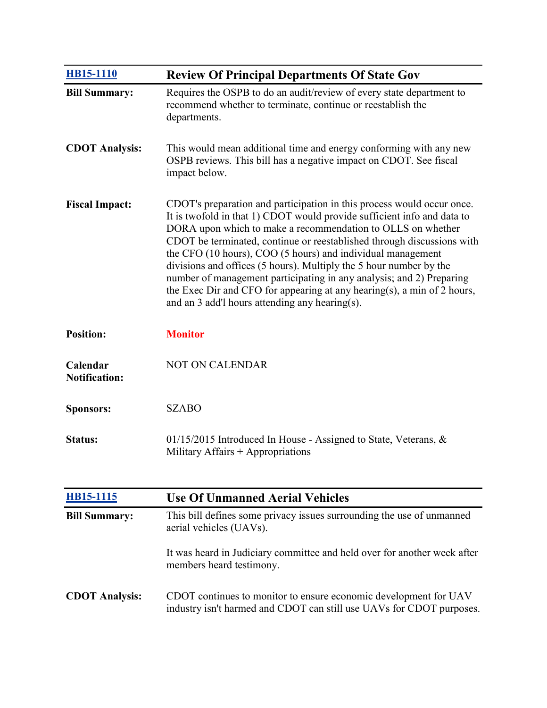| HB15-1110                        | <b>Review Of Principal Departments Of State Gov</b>                                                                                                                                                                                                                                                                                                                                                                                                                                                                                                                                                                                  |
|----------------------------------|--------------------------------------------------------------------------------------------------------------------------------------------------------------------------------------------------------------------------------------------------------------------------------------------------------------------------------------------------------------------------------------------------------------------------------------------------------------------------------------------------------------------------------------------------------------------------------------------------------------------------------------|
| <b>Bill Summary:</b>             | Requires the OSPB to do an audit/review of every state department to<br>recommend whether to terminate, continue or reestablish the<br>departments.                                                                                                                                                                                                                                                                                                                                                                                                                                                                                  |
| <b>CDOT Analysis:</b>            | This would mean additional time and energy conforming with any new<br>OSPB reviews. This bill has a negative impact on CDOT. See fiscal<br>impact below.                                                                                                                                                                                                                                                                                                                                                                                                                                                                             |
| <b>Fiscal Impact:</b>            | CDOT's preparation and participation in this process would occur once.<br>It is twofold in that 1) CDOT would provide sufficient info and data to<br>DORA upon which to make a recommendation to OLLS on whether<br>CDOT be terminated, continue or reestablished through discussions with<br>the CFO (10 hours), COO (5 hours) and individual management<br>divisions and offices (5 hours). Multiply the 5 hour number by the<br>number of management participating in any analysis; and 2) Preparing<br>the Exec Dir and CFO for appearing at any hearing(s), a min of 2 hours,<br>and an 3 add'l hours attending any hearing(s). |
| <b>Position:</b>                 | <b>Monitor</b>                                                                                                                                                                                                                                                                                                                                                                                                                                                                                                                                                                                                                       |
| Calendar<br><b>Notification:</b> | <b>NOT ON CALENDAR</b>                                                                                                                                                                                                                                                                                                                                                                                                                                                                                                                                                                                                               |
| <b>Sponsors:</b>                 | <b>SZABO</b>                                                                                                                                                                                                                                                                                                                                                                                                                                                                                                                                                                                                                         |
| <b>Status:</b>                   | 01/15/2015 Introduced In House - Assigned to State, Veterans, $\&$<br>Military Affairs + Appropriations                                                                                                                                                                                                                                                                                                                                                                                                                                                                                                                              |

| HB15-1115             | <b>Use Of Unmanned Aerial Vehicles</b>                                                                                                   |
|-----------------------|------------------------------------------------------------------------------------------------------------------------------------------|
| <b>Bill Summary:</b>  | This bill defines some privacy issues surrounding the use of unmanned<br>aerial vehicles (UAVs).                                         |
|                       | It was heard in Judiciary committee and held over for another week after<br>members heard testimony.                                     |
| <b>CDOT</b> Analysis: | CDOT continues to monitor to ensure economic development for UAV<br>industry isn't harmed and CDOT can still use UAVs for CDOT purposes. |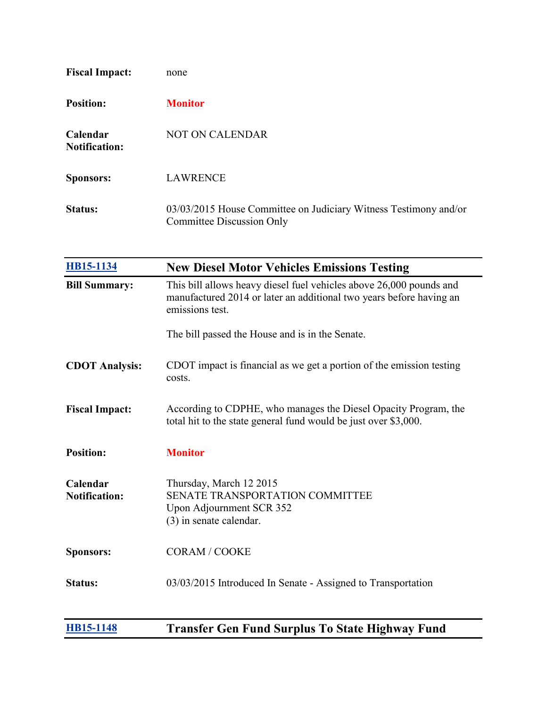| <b>Fiscal Impact:</b>            | none                                                                                          |
|----------------------------------|-----------------------------------------------------------------------------------------------|
| <b>Position:</b>                 | <b>Monitor</b>                                                                                |
| Calendar<br><b>Notification:</b> | <b>NOT ON CALENDAR</b>                                                                        |
| <b>Sponsors:</b>                 | <b>LAWRENCE</b>                                                                               |
| <b>Status:</b>                   | 03/03/2015 House Committee on Judiciary Witness Testimony and/or<br>Committee Discussion Only |

| HB15-1134                        | <b>New Diesel Motor Vehicles Emissions Testing</b>                                                                                                            |
|----------------------------------|---------------------------------------------------------------------------------------------------------------------------------------------------------------|
| <b>Bill Summary:</b>             | This bill allows heavy diesel fuel vehicles above 26,000 pounds and<br>manufactured 2014 or later an additional two years before having an<br>emissions test. |
|                                  | The bill passed the House and is in the Senate.                                                                                                               |
| <b>CDOT Analysis:</b>            | CDOT impact is financial as we get a portion of the emission testing<br>costs.                                                                                |
| <b>Fiscal Impact:</b>            | According to CDPHE, who manages the Diesel Opacity Program, the<br>total hit to the state general fund would be just over \$3,000.                            |
| <b>Position:</b>                 | <b>Monitor</b>                                                                                                                                                |
| Calendar<br><b>Notification:</b> | Thursday, March 12 2015<br><b>SENATE TRANSPORTATION COMMITTEE</b><br>Upon Adjournment SCR 352<br>(3) in senate calendar.                                      |
| <b>Sponsors:</b>                 | <b>CORAM / COOKE</b>                                                                                                                                          |
| <b>Status:</b>                   | 03/03/2015 Introduced In Senate - Assigned to Transportation                                                                                                  |
| HB15-1148                        | <b>Transfer Gen Fund Surplus To State Highway Fund</b>                                                                                                        |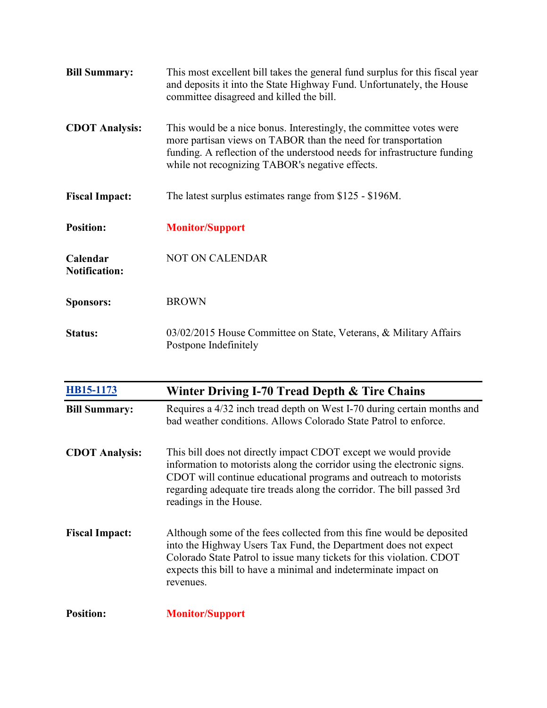| <b>Bill Summary:</b>             | This most excellent bill takes the general fund surplus for this fiscal year<br>and deposits it into the State Highway Fund. Unfortunately, the House<br>committee disagreed and killed the bill.                                                                   |
|----------------------------------|---------------------------------------------------------------------------------------------------------------------------------------------------------------------------------------------------------------------------------------------------------------------|
| <b>CDOT</b> Analysis:            | This would be a nice bonus. Interestingly, the committee votes were<br>more partisan views on TABOR than the need for transportation<br>funding. A reflection of the understood needs for infrastructure funding<br>while not recognizing TABOR's negative effects. |
| <b>Fiscal Impact:</b>            | The latest surplus estimates range from \$125 - \$196M.                                                                                                                                                                                                             |
| <b>Position:</b>                 | <b>Monitor/Support</b>                                                                                                                                                                                                                                              |
| Calendar<br><b>Notification:</b> | <b>NOT ON CALENDAR</b>                                                                                                                                                                                                                                              |
| <b>Sponsors:</b>                 | <b>BROWN</b>                                                                                                                                                                                                                                                        |
| <b>Status:</b>                   | 03/02/2015 House Committee on State, Veterans, & Military Affairs                                                                                                                                                                                                   |

| HB15-1173             | Winter Driving I-70 Tread Depth & Tire Chains                                                                                                                                                                                                                                                                       |
|-----------------------|---------------------------------------------------------------------------------------------------------------------------------------------------------------------------------------------------------------------------------------------------------------------------------------------------------------------|
| <b>Bill Summary:</b>  | Requires a 4/32 inch tread depth on West I-70 during certain months and<br>bad weather conditions. Allows Colorado State Patrol to enforce.                                                                                                                                                                         |
| <b>CDOT</b> Analysis: | This bill does not directly impact CDOT except we would provide<br>information to motorists along the corridor using the electronic signs.<br>CDOT will continue educational programs and outreach to motorists<br>regarding adequate tire treads along the corridor. The bill passed 3rd<br>readings in the House. |
| <b>Fiscal Impact:</b> | Although some of the fees collected from this fine would be deposited<br>into the Highway Users Tax Fund, the Department does not expect<br>Colorado State Patrol to issue many tickets for this violation. CDOT<br>expects this bill to have a minimal and indeterminate impact on<br>revenues.                    |
| <b>Position:</b>      | <b>Monitor/Support</b>                                                                                                                                                                                                                                                                                              |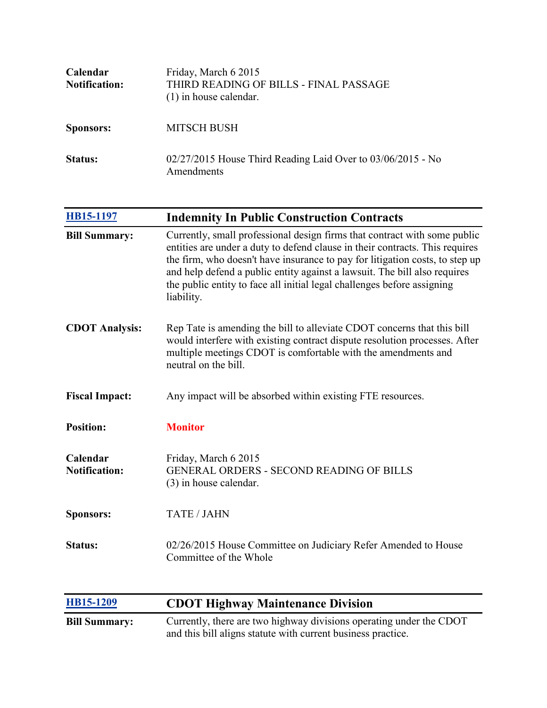| Calendar<br><b>Notification:</b> | Friday, March 6 2015<br>THIRD READING OF BILLS - FINAL PASSAGE<br>$(1)$ in house calendar. |
|----------------------------------|--------------------------------------------------------------------------------------------|
| <b>Sponsors:</b>                 | <b>MITSCH BUSH</b>                                                                         |
| Status:                          | $02/27/2015$ House Third Reading Laid Over to $03/06/2015$ - No<br>Amendments              |

| <b>HB15-1197</b>                 | <b>Indemnity In Public Construction Contracts</b>                                                                                                                                                                                                                                                                                                                                                               |
|----------------------------------|-----------------------------------------------------------------------------------------------------------------------------------------------------------------------------------------------------------------------------------------------------------------------------------------------------------------------------------------------------------------------------------------------------------------|
| <b>Bill Summary:</b>             | Currently, small professional design firms that contract with some public<br>entities are under a duty to defend clause in their contracts. This requires<br>the firm, who doesn't have insurance to pay for litigation costs, to step up<br>and help defend a public entity against a lawsuit. The bill also requires<br>the public entity to face all initial legal challenges before assigning<br>liability. |
| <b>CDOT Analysis:</b>            | Rep Tate is amending the bill to alleviate CDOT concerns that this bill<br>would interfere with existing contract dispute resolution processes. After<br>multiple meetings CDOT is comfortable with the amendments and<br>neutral on the bill.                                                                                                                                                                  |
| <b>Fiscal Impact:</b>            | Any impact will be absorbed within existing FTE resources.                                                                                                                                                                                                                                                                                                                                                      |
| <b>Position:</b>                 | <b>Monitor</b>                                                                                                                                                                                                                                                                                                                                                                                                  |
| Calendar<br><b>Notification:</b> | Friday, March 6 2015<br><b>GENERAL ORDERS - SECOND READING OF BILLS</b><br>(3) in house calendar.                                                                                                                                                                                                                                                                                                               |
| <b>Sponsors:</b>                 | <b>TATE / JAHN</b>                                                                                                                                                                                                                                                                                                                                                                                              |
| <b>Status:</b>                   | 02/26/2015 House Committee on Judiciary Refer Amended to House<br>Committee of the Whole                                                                                                                                                                                                                                                                                                                        |

| HB15-1209            | <b>CDOT Highway Maintenance Division</b>                                                                                            |
|----------------------|-------------------------------------------------------------------------------------------------------------------------------------|
| <b>Bill Summary:</b> | Currently, there are two highway divisions operating under the CDOT<br>and this bill aligns statute with current business practice. |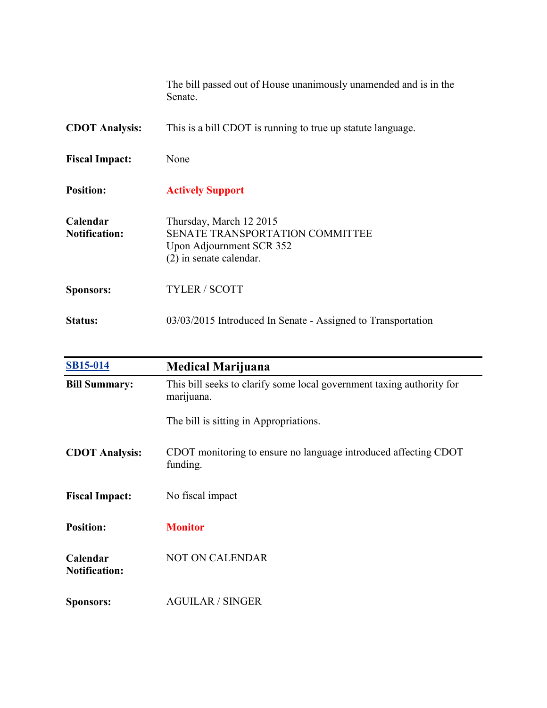|                                  | The bill passed out of House unanimously unamended and is in the<br>Senate.                                                |
|----------------------------------|----------------------------------------------------------------------------------------------------------------------------|
| <b>CDOT Analysis:</b>            | This is a bill CDOT is running to true up statute language.                                                                |
| <b>Fiscal Impact:</b>            | None                                                                                                                       |
| <b>Position:</b>                 | <b>Actively Support</b>                                                                                                    |
| Calendar<br><b>Notification:</b> | Thursday, March 12 2015<br><b>SENATE TRANSPORTATION COMMITTEE</b><br>Upon Adjournment SCR 352<br>$(2)$ in senate calendar. |
| <b>Sponsors:</b>                 | <b>TYLER / SCOTT</b>                                                                                                       |
| Status:                          | 03/03/2015 Introduced In Senate - Assigned to Transportation                                                               |

| <b>SB15-014</b>                  | <b>Medical Marijuana</b>                                                            |
|----------------------------------|-------------------------------------------------------------------------------------|
| <b>Bill Summary:</b>             | This bill seeks to clarify some local government taxing authority for<br>marijuana. |
|                                  | The bill is sitting in Appropriations.                                              |
| <b>CDOT</b> Analysis:            | CDOT monitoring to ensure no language introduced affecting CDOT<br>funding.         |
| <b>Fiscal Impact:</b>            | No fiscal impact                                                                    |
| <b>Position:</b>                 | <b>Monitor</b>                                                                      |
| Calendar<br><b>Notification:</b> | <b>NOT ON CALENDAR</b>                                                              |
| <b>Sponsors:</b>                 | <b>AGUILAR / SINGER</b>                                                             |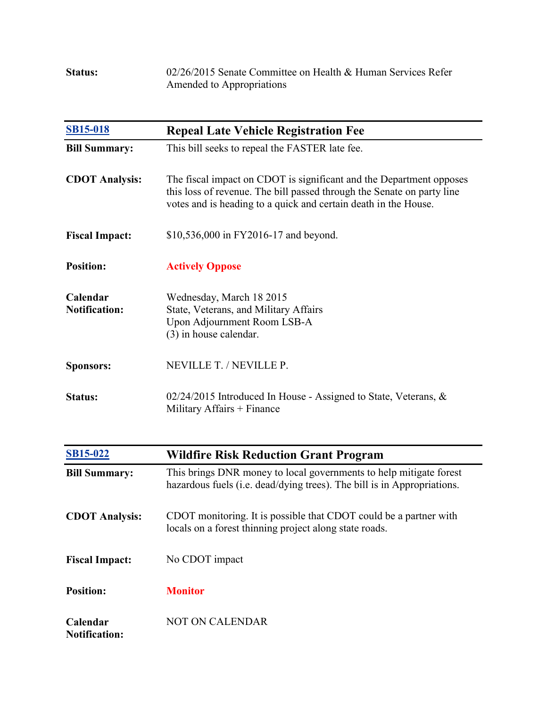| <b>Status:</b> | 02/26/2015 Senate Committee on Health & Human Services Refer |
|----------------|--------------------------------------------------------------|
|                | Amended to Appropriations                                    |

| <b>SB15-018</b>                  | <b>Repeal Late Vehicle Registration Fee</b>                                                                                                                                                                      |
|----------------------------------|------------------------------------------------------------------------------------------------------------------------------------------------------------------------------------------------------------------|
| <b>Bill Summary:</b>             | This bill seeks to repeal the FASTER late fee.                                                                                                                                                                   |
| <b>CDOT Analysis:</b>            | The fiscal impact on CDOT is significant and the Department opposes<br>this loss of revenue. The bill passed through the Senate on party line<br>votes and is heading to a quick and certain death in the House. |
| <b>Fiscal Impact:</b>            | \$10,536,000 in FY2016-17 and beyond.                                                                                                                                                                            |
| <b>Position:</b>                 | <b>Actively Oppose</b>                                                                                                                                                                                           |
| Calendar<br><b>Notification:</b> | Wednesday, March 18 2015<br>State, Veterans, and Military Affairs<br>Upon Adjournment Room LSB-A<br>(3) in house calendar.                                                                                       |
| <b>Sponsors:</b>                 | NEVILLE T. / NEVILLE P.                                                                                                                                                                                          |
| <b>Status:</b>                   | $02/24/2015$ Introduced In House - Assigned to State, Veterans, &<br>Military Affairs + Finance                                                                                                                  |
| <b>SB15-022</b>                  | <b>Wildfire Risk Reduction Grant Program</b>                                                                                                                                                                     |
| <b>Bill Summary:</b>             | This brings DNR money to local governments to help mitigate forest<br>hazardous fuels (i.e. dead/dying trees). The bill is in Appropriations.                                                                    |
| <b>CDOT Analysis:</b>            | CDOT monitoring. It is possible that CDOT could be a partner with<br>locals on a forest thinning project along state roads.                                                                                      |
| <b>Fiscal Impact:</b>            | No CDOT impact                                                                                                                                                                                                   |
| <b>Position:</b>                 | <b>Monitor</b>                                                                                                                                                                                                   |

**Calendar Notification:** NOT ON CALENDAR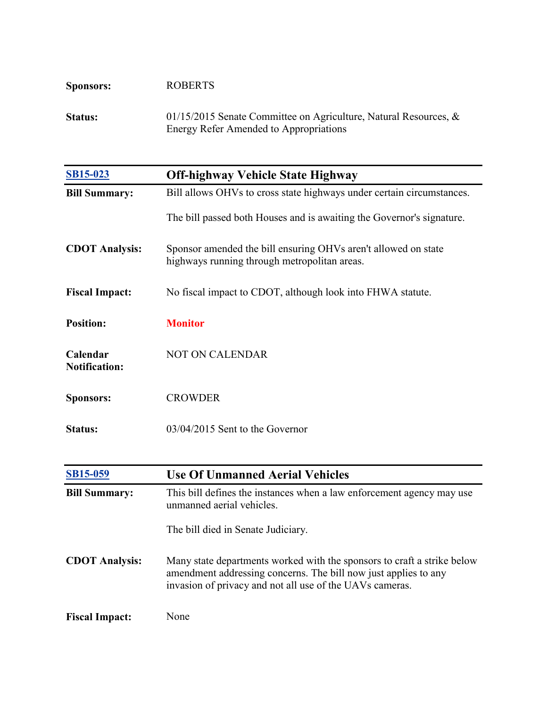| <b>Sponsors:</b> | <b>ROBERTS</b>                                                      |
|------------------|---------------------------------------------------------------------|
| <b>Status:</b>   | 01/15/2015 Senate Committee on Agriculture, Natural Resources, $\&$ |
|                  | Energy Refer Amended to Appropriations                              |

| <b>SB15-023</b>                  | <b>Off-highway Vehicle State Highway</b>                                                                                                                                                               |
|----------------------------------|--------------------------------------------------------------------------------------------------------------------------------------------------------------------------------------------------------|
| <b>Bill Summary:</b>             | Bill allows OHVs to cross state highways under certain circumstances.                                                                                                                                  |
|                                  | The bill passed both Houses and is awaiting the Governor's signature.                                                                                                                                  |
| <b>CDOT Analysis:</b>            | Sponsor amended the bill ensuring OHVs aren't allowed on state<br>highways running through metropolitan areas.                                                                                         |
| <b>Fiscal Impact:</b>            | No fiscal impact to CDOT, although look into FHWA statute.                                                                                                                                             |
| <b>Position:</b>                 | <b>Monitor</b>                                                                                                                                                                                         |
| Calendar<br><b>Notification:</b> | <b>NOT ON CALENDAR</b>                                                                                                                                                                                 |
| <b>Sponsors:</b>                 | <b>CROWDER</b>                                                                                                                                                                                         |
| <b>Status:</b>                   | 03/04/2015 Sent to the Governor                                                                                                                                                                        |
|                                  |                                                                                                                                                                                                        |
| <b>SB15-059</b>                  | <b>Use Of Unmanned Aerial Vehicles</b>                                                                                                                                                                 |
| <b>Bill Summary:</b>             | This bill defines the instances when a law enforcement agency may use<br>unmanned aerial vehicles.                                                                                                     |
|                                  | The bill died in Senate Judiciary.                                                                                                                                                                     |
| <b>CDOT Analysis:</b>            | Many state departments worked with the sponsors to craft a strike below<br>amendment addressing concerns. The bill now just applies to any<br>invasion of privacy and not all use of the UAVs cameras. |
| <b>Fiscal Impact:</b>            | None                                                                                                                                                                                                   |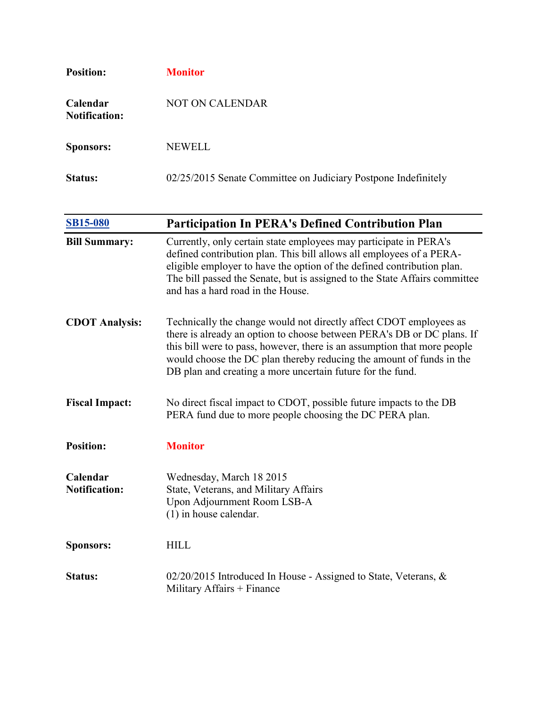| <b>Position:</b>                 | <b>Monitor</b>                                                 |
|----------------------------------|----------------------------------------------------------------|
| Calendar<br><b>Notification:</b> | <b>NOT ON CALENDAR</b>                                         |
| <b>Sponsors:</b>                 | <b>NEWELL</b>                                                  |
| <b>Status:</b>                   | 02/25/2015 Senate Committee on Judiciary Postpone Indefinitely |

| <b>SB15-080</b>                  | <b>Participation In PERA's Defined Contribution Plan</b>                                                                                                                                                                                                                                                                                                       |
|----------------------------------|----------------------------------------------------------------------------------------------------------------------------------------------------------------------------------------------------------------------------------------------------------------------------------------------------------------------------------------------------------------|
| <b>Bill Summary:</b>             | Currently, only certain state employees may participate in PERA's<br>defined contribution plan. This bill allows all employees of a PERA-<br>eligible employer to have the option of the defined contribution plan.<br>The bill passed the Senate, but is assigned to the State Affairs committee<br>and has a hard road in the House.                         |
| <b>CDOT</b> Analysis:            | Technically the change would not directly affect CDOT employees as<br>there is already an option to choose between PERA's DB or DC plans. If<br>this bill were to pass, however, there is an assumption that more people<br>would choose the DC plan thereby reducing the amount of funds in the<br>DB plan and creating a more uncertain future for the fund. |
| <b>Fiscal Impact:</b>            | No direct fiscal impact to CDOT, possible future impacts to the DB<br>PERA fund due to more people choosing the DC PERA plan.                                                                                                                                                                                                                                  |
| <b>Position:</b>                 | <b>Monitor</b>                                                                                                                                                                                                                                                                                                                                                 |
| Calendar<br><b>Notification:</b> | Wednesday, March 18 2015<br>State, Veterans, and Military Affairs<br>Upon Adjournment Room LSB-A<br>$(1)$ in house calendar.                                                                                                                                                                                                                                   |
| <b>Sponsors:</b>                 | <b>HILL</b>                                                                                                                                                                                                                                                                                                                                                    |
| <b>Status:</b>                   | 02/20/2015 Introduced In House - Assigned to State, Veterans, &<br>Military Affairs $+$ Finance                                                                                                                                                                                                                                                                |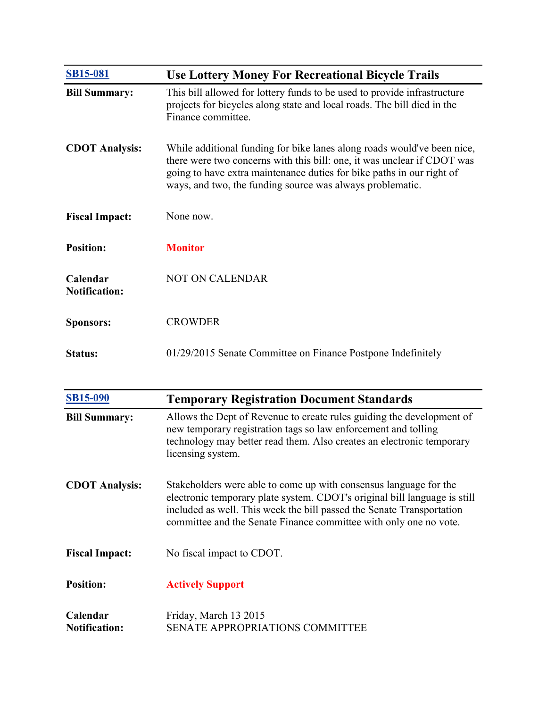| <b>SB15-081</b>                  | <b>Use Lottery Money For Recreational Bicycle Trails</b>                                                                                                                                                                                                                                 |
|----------------------------------|------------------------------------------------------------------------------------------------------------------------------------------------------------------------------------------------------------------------------------------------------------------------------------------|
| <b>Bill Summary:</b>             | This bill allowed for lottery funds to be used to provide infrastructure<br>projects for bicycles along state and local roads. The bill died in the<br>Finance committee.                                                                                                                |
| <b>CDOT Analysis:</b>            | While additional funding for bike lanes along roads would've been nice,<br>there were two concerns with this bill: one, it was unclear if CDOT was<br>going to have extra maintenance duties for bike paths in our right of<br>ways, and two, the funding source was always problematic. |
| <b>Fiscal Impact:</b>            | None now.                                                                                                                                                                                                                                                                                |
| <b>Position:</b>                 | <b>Monitor</b>                                                                                                                                                                                                                                                                           |
| Calendar<br><b>Notification:</b> | <b>NOT ON CALENDAR</b>                                                                                                                                                                                                                                                                   |
| <b>Sponsors:</b>                 | <b>CROWDER</b>                                                                                                                                                                                                                                                                           |
| Status:                          | 01/29/2015 Senate Committee on Finance Postpone Indefinitely                                                                                                                                                                                                                             |

| <b>SB15-090</b>                  | <b>Temporary Registration Document Standards</b>                                                                                                                                                                                                                                             |
|----------------------------------|----------------------------------------------------------------------------------------------------------------------------------------------------------------------------------------------------------------------------------------------------------------------------------------------|
| <b>Bill Summary:</b>             | Allows the Dept of Revenue to create rules guiding the development of<br>new temporary registration tags so law enforcement and tolling<br>technology may better read them. Also creates an electronic temporary<br>licensing system.                                                        |
| <b>CDOT</b> Analysis:            | Stakeholders were able to come up with consensus language for the<br>electronic temporary plate system. CDOT's original bill language is still<br>included as well. This week the bill passed the Senate Transportation<br>committee and the Senate Finance committee with only one no vote. |
| <b>Fiscal Impact:</b>            | No fiscal impact to CDOT.                                                                                                                                                                                                                                                                    |
| <b>Position:</b>                 | <b>Actively Support</b>                                                                                                                                                                                                                                                                      |
| Calendar<br><b>Notification:</b> | Friday, March 13 2015<br><b>SENATE APPROPRIATIONS COMMITTEE</b>                                                                                                                                                                                                                              |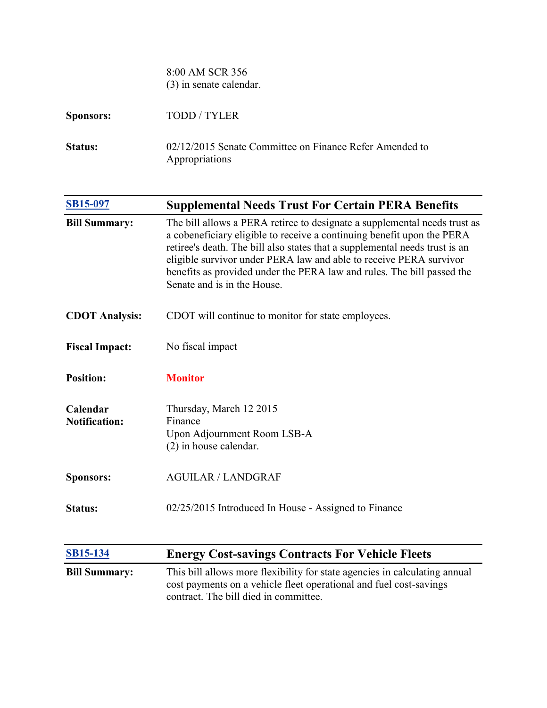8:00 AM SCR 356 (3) in senate calendar.

| <b>Sponsors:</b> | TODD/TYLER                                                                |
|------------------|---------------------------------------------------------------------------|
| <b>Status:</b>   | 02/12/2015 Senate Committee on Finance Refer Amended to<br>Appropriations |

| SB15-097                         | <b>Supplemental Needs Trust For Certain PERA Benefits</b>                                                                                                                                                                                                                                                                                                                                                         |
|----------------------------------|-------------------------------------------------------------------------------------------------------------------------------------------------------------------------------------------------------------------------------------------------------------------------------------------------------------------------------------------------------------------------------------------------------------------|
| <b>Bill Summary:</b>             | The bill allows a PERA retiree to designate a supplemental needs trust as<br>a cobeneficiary eligible to receive a continuing benefit upon the PERA<br>retiree's death. The bill also states that a supplemental needs trust is an<br>eligible survivor under PERA law and able to receive PERA survivor<br>benefits as provided under the PERA law and rules. The bill passed the<br>Senate and is in the House. |
| <b>CDOT Analysis:</b>            | CDOT will continue to monitor for state employees.                                                                                                                                                                                                                                                                                                                                                                |
| <b>Fiscal Impact:</b>            | No fiscal impact                                                                                                                                                                                                                                                                                                                                                                                                  |
| <b>Position:</b>                 | <b>Monitor</b>                                                                                                                                                                                                                                                                                                                                                                                                    |
| Calendar<br><b>Notification:</b> | Thursday, March 12 2015<br>Finance<br>Upon Adjournment Room LSB-A<br>$(2)$ in house calendar.                                                                                                                                                                                                                                                                                                                     |
| <b>Sponsors:</b>                 | <b>AGUILAR / LANDGRAF</b>                                                                                                                                                                                                                                                                                                                                                                                         |
| <b>Status:</b>                   | 02/25/2015 Introduced In House - Assigned to Finance                                                                                                                                                                                                                                                                                                                                                              |
| <b>SB15-134</b>                  | <b>Energy Cost-savings Contracts For Vehicle Fleets</b>                                                                                                                                                                                                                                                                                                                                                           |
| <b>Bill Summary:</b>             | This bill allows more flexibility for state agencies in calculating annual<br>cost payments on a vehicle fleet operational and fuel cost-savings<br>contract. The bill died in committee.                                                                                                                                                                                                                         |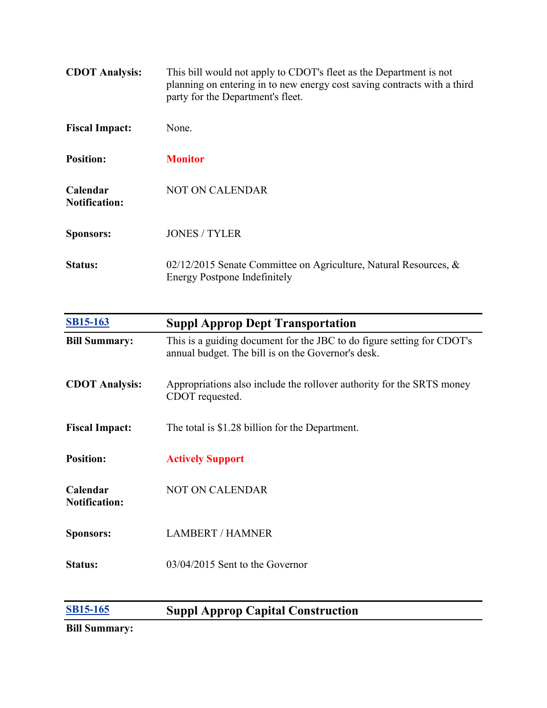| <b>CDOT</b> Analysis:            | This bill would not apply to CDOT's fleet as the Department is not<br>planning on entering in to new energy cost saving contracts with a third<br>party for the Department's fleet. |
|----------------------------------|-------------------------------------------------------------------------------------------------------------------------------------------------------------------------------------|
| <b>Fiscal Impact:</b>            | None                                                                                                                                                                                |
| <b>Position:</b>                 | <b>Monitor</b>                                                                                                                                                                      |
| Calendar<br><b>Notification:</b> | <b>NOT ON CALENDAR</b>                                                                                                                                                              |
| <b>Sponsors:</b>                 | <b>JONES / TYLER</b>                                                                                                                                                                |
| Status:                          | 02/12/2015 Senate Committee on Agriculture, Natural Resources, $\&$<br><b>Energy Postpone Indefinitely</b>                                                                          |

| <b>SB15-163</b>                  | <b>Suppl Approp Dept Transportation</b>                                                                                      |
|----------------------------------|------------------------------------------------------------------------------------------------------------------------------|
| <b>Bill Summary:</b>             | This is a guiding document for the JBC to do figure setting for CDOT's<br>annual budget. The bill is on the Governor's desk. |
| <b>CDOT</b> Analysis:            | Appropriations also include the rollover authority for the SRTS money<br>CDOT requested.                                     |
| <b>Fiscal Impact:</b>            | The total is \$1.28 billion for the Department.                                                                              |
| <b>Position:</b>                 | <b>Actively Support</b>                                                                                                      |
| Calendar<br><b>Notification:</b> | <b>NOT ON CALENDAR</b>                                                                                                       |
| <b>Sponsors:</b>                 | <b>LAMBERT / HAMNER</b>                                                                                                      |
| <b>Status:</b>                   | 03/04/2015 Sent to the Governor                                                                                              |
|                                  |                                                                                                                              |

## **[SB15-165](http://www.statebillinfo.com/SBI/index.cfm?fuseaction=Bills.View&billnum=SB15-165) Suppl Approp Capital Construction**

**Bill Summary:**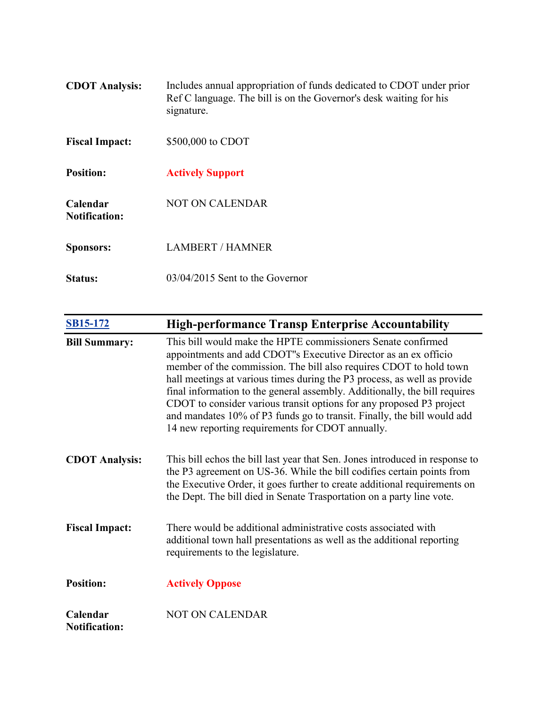| <b>CDOT</b> Analysis:            | Includes annual appropriation of funds dedicated to CDOT under prior<br>Ref C language. The bill is on the Governor's desk waiting for his<br>signature. |
|----------------------------------|----------------------------------------------------------------------------------------------------------------------------------------------------------|
| <b>Fiscal Impact:</b>            | \$500,000 to CDOT                                                                                                                                        |
| <b>Position:</b>                 | <b>Actively Support</b>                                                                                                                                  |
| Calendar<br><b>Notification:</b> | NOT ON CALENDAR                                                                                                                                          |
| <b>Sponsors:</b>                 | <b>LAMBERT / HAMNER</b>                                                                                                                                  |
| <b>Status:</b>                   | $03/04/2015$ Sent to the Governor                                                                                                                        |

| <b>SB15-172</b>                  | <b>High-performance Transp Enterprise Accountability</b>                                                                                                                                                                                                                                                                                                                                                                                                                                                                                                               |
|----------------------------------|------------------------------------------------------------------------------------------------------------------------------------------------------------------------------------------------------------------------------------------------------------------------------------------------------------------------------------------------------------------------------------------------------------------------------------------------------------------------------------------------------------------------------------------------------------------------|
| <b>Bill Summary:</b>             | This bill would make the HPTE commissioners Senate confirmed<br>appointments and add CDOT"s Executive Director as an ex officio<br>member of the commission. The bill also requires CDOT to hold town<br>hall meetings at various times during the P3 process, as well as provide<br>final information to the general assembly. Additionally, the bill requires<br>CDOT to consider various transit options for any proposed P3 project<br>and mandates 10% of P3 funds go to transit. Finally, the bill would add<br>14 new reporting requirements for CDOT annually. |
| <b>CDOT</b> Analysis:            | This bill echos the bill last year that Sen. Jones introduced in response to<br>the P3 agreement on US-36. While the bill codifies certain points from<br>the Executive Order, it goes further to create additional requirements on<br>the Dept. The bill died in Senate Trasportation on a party line vote.                                                                                                                                                                                                                                                           |
| <b>Fiscal Impact:</b>            | There would be additional administrative costs associated with<br>additional town hall presentations as well as the additional reporting<br>requirements to the legislature.                                                                                                                                                                                                                                                                                                                                                                                           |
| <b>Position:</b>                 | <b>Actively Oppose</b>                                                                                                                                                                                                                                                                                                                                                                                                                                                                                                                                                 |
| Calendar<br><b>Notification:</b> | <b>NOT ON CALENDAR</b>                                                                                                                                                                                                                                                                                                                                                                                                                                                                                                                                                 |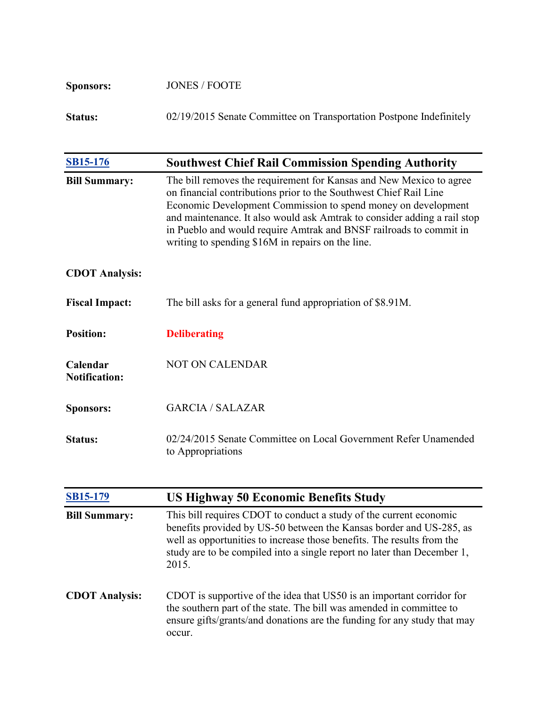| <b>Sponsors:</b> | <b>JONES / FOOTE</b>                                                |
|------------------|---------------------------------------------------------------------|
| <b>Status:</b>   | 02/19/2015 Senate Committee on Transportation Postpone Indefinitely |

| <b>SB15-176</b>                  | <b>Southwest Chief Rail Commission Spending Authority</b>                                                                                                                                                                                                                                                                                                                                                        |
|----------------------------------|------------------------------------------------------------------------------------------------------------------------------------------------------------------------------------------------------------------------------------------------------------------------------------------------------------------------------------------------------------------------------------------------------------------|
| <b>Bill Summary:</b>             | The bill removes the requirement for Kansas and New Mexico to agree<br>on financial contributions prior to the Southwest Chief Rail Line<br>Economic Development Commission to spend money on development<br>and maintenance. It also would ask Amtrak to consider adding a rail stop<br>in Pueblo and would require Amtrak and BNSF railroads to commit in<br>writing to spending \$16M in repairs on the line. |
| <b>CDOT</b> Analysis:            |                                                                                                                                                                                                                                                                                                                                                                                                                  |
| <b>Fiscal Impact:</b>            | The bill asks for a general fund appropriation of \$8.91M.                                                                                                                                                                                                                                                                                                                                                       |
| <b>Position:</b>                 | <b>Deliberating</b>                                                                                                                                                                                                                                                                                                                                                                                              |
| Calendar<br><b>Notification:</b> | <b>NOT ON CALENDAR</b>                                                                                                                                                                                                                                                                                                                                                                                           |
| <b>Sponsors:</b>                 | <b>GARCIA / SALAZAR</b>                                                                                                                                                                                                                                                                                                                                                                                          |
| Status:                          | 02/24/2015 Senate Committee on Local Government Refer Unamended<br>to Appropriations                                                                                                                                                                                                                                                                                                                             |

| <b>SB15-179</b>       | <b>US Highway 50 Economic Benefits Study</b>                                                                                                                                                                                                                                                            |
|-----------------------|---------------------------------------------------------------------------------------------------------------------------------------------------------------------------------------------------------------------------------------------------------------------------------------------------------|
| <b>Bill Summary:</b>  | This bill requires CDOT to conduct a study of the current economic<br>benefits provided by US-50 between the Kansas border and US-285, as<br>well as opportunities to increase those benefits. The results from the<br>study are to be compiled into a single report no later than December 1,<br>2015. |
| <b>CDOT</b> Analysis: | CDOT is supportive of the idea that US50 is an important corridor for<br>the southern part of the state. The bill was amended in committee to<br>ensure gifts/grants/and donations are the funding for any study that may<br>occur.                                                                     |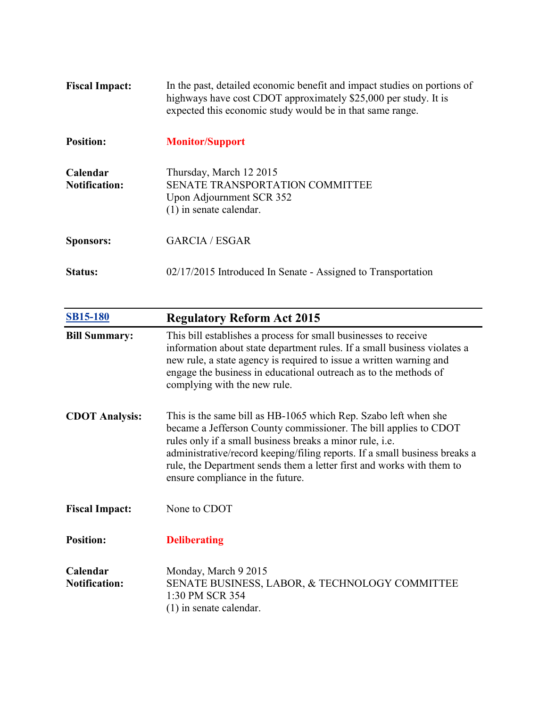| <b>Fiscal Impact:</b>            | In the past, detailed economic benefit and impact studies on portions of<br>highways have cost CDOT approximately \$25,000 per study. It is<br>expected this economic study would be in that same range. |
|----------------------------------|----------------------------------------------------------------------------------------------------------------------------------------------------------------------------------------------------------|
| <b>Position:</b>                 | <b>Monitor/Support</b>                                                                                                                                                                                   |
| Calendar<br><b>Notification:</b> | Thursday, March 12 2015<br>SENATE TRANSPORTATION COMMITTEE<br>Upon Adjournment SCR 352<br>$(1)$ in senate calendar.                                                                                      |
| <b>Sponsors:</b>                 | <b>GARCIA / ESGAR</b>                                                                                                                                                                                    |
| Status:                          | 02/17/2015 Introduced In Senate - Assigned to Transportation                                                                                                                                             |

| <b>SB15-180</b>                  | <b>Regulatory Reform Act 2015</b>                                                                                                                                                                                                                                                                                                                                                          |
|----------------------------------|--------------------------------------------------------------------------------------------------------------------------------------------------------------------------------------------------------------------------------------------------------------------------------------------------------------------------------------------------------------------------------------------|
| <b>Bill Summary:</b>             | This bill establishes a process for small businesses to receive<br>information about state department rules. If a small business violates a<br>new rule, a state agency is required to issue a written warning and<br>engage the business in educational outreach as to the methods of<br>complying with the new rule.                                                                     |
| <b>CDOT</b> Analysis:            | This is the same bill as HB-1065 which Rep. Szabo left when she<br>became a Jefferson County commissioner. The bill applies to CDOT<br>rules only if a small business breaks a minor rule, i.e.<br>administrative/record keeping/filing reports. If a small business breaks a<br>rule, the Department sends them a letter first and works with them to<br>ensure compliance in the future. |
| <b>Fiscal Impact:</b>            | None to CDOT                                                                                                                                                                                                                                                                                                                                                                               |
| <b>Position:</b>                 | <b>Deliberating</b>                                                                                                                                                                                                                                                                                                                                                                        |
| Calendar<br><b>Notification:</b> | Monday, March 9 2015<br>SENATE BUSINESS, LABOR, & TECHNOLOGY COMMITTEE<br>1:30 PM SCR 354<br>$(1)$ in senate calendar.                                                                                                                                                                                                                                                                     |